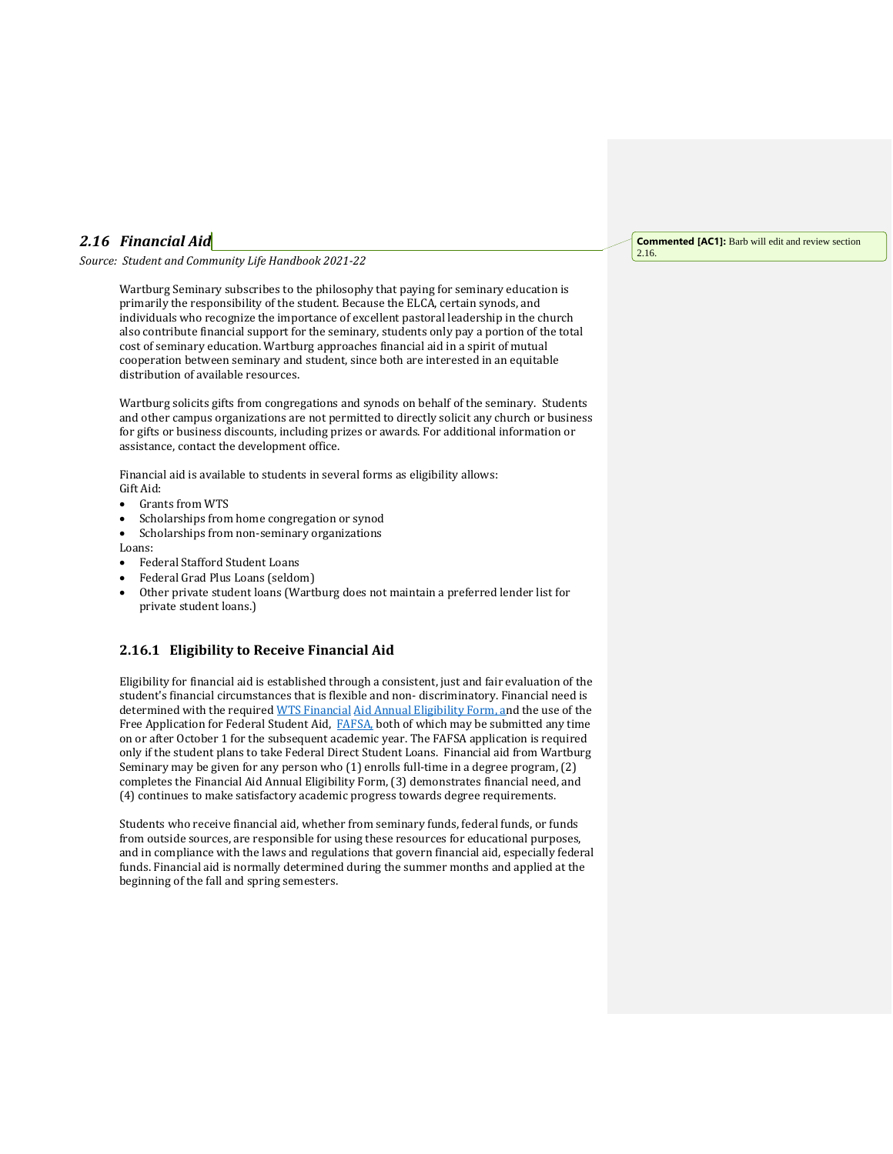## *2.16 Financial Aid*

*Source: Student and Community Life Handbook 2021-22*

Wartburg Seminary subscribes to the philosophy that paying for seminary education is primarily the responsibility of the student. Because the ELCA, certain synods, and individuals who recognize the importance of excellent pastoral leadership in the church also contribute financial support for the seminary, students only pay a portion of the total cost of seminary education. Wartburg approaches financial aid in a spirit of mutual cooperation between seminary and student, since both are interested in an equitable distribution of available resources.

Wartburg solicits gifts from congregations and synods on behalf of the seminary. Students and other campus organizations are not permitted to directly solicit any church or business for gifts or business discounts, including prizes or awards. For additional information or assistance, contact the development office.

Financial aid is available to students in several forms as eligibility allows: Gift Aid:

- Grants from WTS
- Scholarships from home congregation or synod
- Scholarships from non-seminary organizations
- Loans:
- Federal Stafford Student Loans
- Federal Grad Plus Loans (seldom)
- Other private student loans (Wartburg does not maintain a preferred lender list for private student loans.)

## **2.16.1 Eligibility to Receive Financial Aid**

Eligibility for financial aid is established through a consistent, just and fair evaluation of the student's financial circumstances that is flexible and non- discriminatory. Financial need is determined with the require[d WTS Financial](https://mywts.wartburgseminary.edu/ICS/Student/Financial_Aid.jnz?portlet=Financial_Aid_Annual_Eligibility_Form&screen=FormView&screenType=change&form=57beb34d-1917-4d1f-b2e5-a50cda30c1dd) [Aid Annual Eligibility Form, a](https://mywts.wartburgseminary.edu/ICS/Student/Financial_Aid.jnz?portlet=Financial_Aid_Annual_Eligibility_Form&screen=FormView&screenType=change&form=57beb34d-1917-4d1f-b2e5-a50cda30c1dd)nd the use of the Free Application for Federal Student Aid, [FAFSA,](https://fafsa.ed.gov/https:/fafsa.ed.gov/) both of which may be submitted any time on or after October 1 for the subsequent academic year. The FAFSA application is required only if the student plans to take Federal Direct Student Loans. Financial aid from Wartburg Seminary may be given for any person who (1) enrolls full-time in a degree program, (2) completes the Financial Aid Annual Eligibility Form, (3) demonstrates financial need, and (4) continues to make satisfactory academic progress towards degree requirements.

Students who receive financial aid, whether from seminary funds, federal funds, or funds from outside sources, are responsible for using these resources for educational purposes, and in compliance with the laws and regulations that govern financial aid, especially federal funds. Financial aid is normally determined during the summer months and applied at the beginning of the fall and spring semesters.

## **Commented [AC1]:** Barb will edit and review section 2.16.